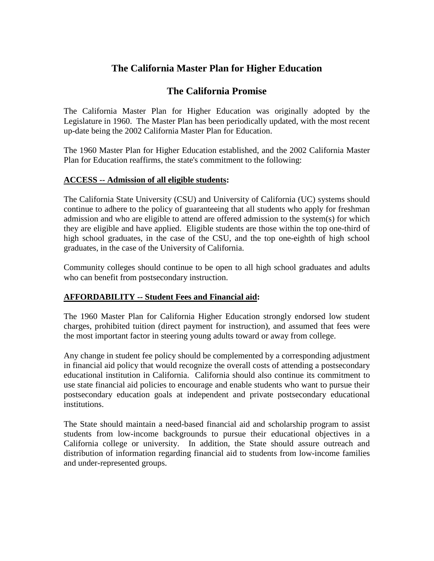# **The California Master Plan for Higher Education**

# **The California Promise**

The California Master Plan for Higher Education was originally adopted by the Legislature in 1960. The Master Plan has been periodically updated, with the most recent up-date being the 2002 California Master Plan for Education.

The 1960 Master Plan for Higher Education established, and the 2002 California Master Plan for Education reaffirms, the state's commitment to the following:

#### **ACCESS -- Admission of all eligible students:**

The California State University (CSU) and University of California (UC) systems should continue to adhere to the policy of guaranteeing that all students who apply for freshman admission and who are eligible to attend are offered admission to the system(s) for which they are eligible and have applied. Eligible students are those within the top one-third of high school graduates, in the case of the CSU, and the top one-eighth of high school graduates, in the case of the University of California.

Community colleges should continue to be open to all high school graduates and adults who can benefit from postsecondary instruction.

### **AFFORDABILITY -- Student Fees and Financial aid:**

The 1960 Master Plan for California Higher Education strongly endorsed low student charges, prohibited tuition (direct payment for instruction), and assumed that fees were the most important factor in steering young adults toward or away from college.

Any change in student fee policy should be complemented by a corresponding adjustment in financial aid policy that would recognize the overall costs of attending a postsecondary educational institution in California. California should also continue its commitment to use state financial aid policies to encourage and enable students who want to pursue their postsecondary education goals at independent and private postsecondary educational institutions.

The State should maintain a need-based financial aid and scholarship program to assist students from low-income backgrounds to pursue their educational objectives in a California college or university. In addition, the State should assure outreach and distribution of information regarding financial aid to students from low-income families and under-represented groups.